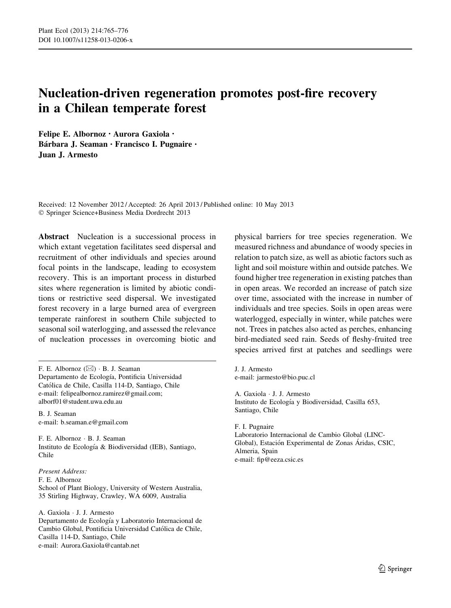# Nucleation-driven regeneration promotes post-fire recovery in a Chilean temperate forest

Felipe E. Albornoz • Aurora Gaxiola • Bárbara J. Seaman · Francisco I. Pugnaire · Juan J. Armesto

Received: 12 November 2012 / Accepted: 26 April 2013 / Published online: 10 May 2013 - Springer Science+Business Media Dordrecht 2013

Abstract Nucleation is a successional process in which extant vegetation facilitates seed dispersal and recruitment of other individuals and species around focal points in the landscape, leading to ecosystem recovery. This is an important process in disturbed sites where regeneration is limited by abiotic conditions or restrictive seed dispersal. We investigated forest recovery in a large burned area of evergreen temperate rainforest in southern Chile subjected to seasonal soil waterlogging, and assessed the relevance of nucleation processes in overcoming biotic and

F. E. Albornoz  $(\boxtimes) \cdot B$ . J. Seaman Departamento de Ecología, Pontificia Universidad Católica de Chile, Casilla 114-D, Santiago, Chile e-mail: felipealbornoz.ramirez@gmail.com; alborf01@student.uwa.edu.au

B. J. Seaman e-mail: b.seaman.e@gmail.com

F. E. Albornoz - B. J. Seaman Instituto de Ecología & Biodiversidad (IEB), Santiago, Chile

Present Address: F. E. Albornoz School of Plant Biology, University of Western Australia, 35 Stirling Highway, Crawley, WA 6009, Australia

A. Gaxiola - J. J. Armesto Departamento de Ecología y Laboratorio Internacional de Cambio Global, Pontificia Universidad Católica de Chile, Casilla 114-D, Santiago, Chile e-mail: Aurora.Gaxiola@cantab.net

physical barriers for tree species regeneration. We measured richness and abundance of woody species in relation to patch size, as well as abiotic factors such as light and soil moisture within and outside patches. We found higher tree regeneration in existing patches than in open areas. We recorded an increase of patch size over time, associated with the increase in number of individuals and tree species. Soils in open areas were waterlogged, especially in winter, while patches were not. Trees in patches also acted as perches, enhancing bird-mediated seed rain. Seeds of fleshy-fruited tree species arrived first at patches and seedlings were

J. J. Armesto e-mail: jarmesto@bio.puc.cl

A. Gaxiola - J. J. Armesto Instituto de Ecología y Biodiversidad, Casilla 653, Santiago, Chile

F. I. Pugnaire Laboratorio Internacional de Cambio Global (LINC-Global), Estación Experimental de Zonas Áridas, CSIC, Almeria, Spain e-mail: fip@eeza.csic.es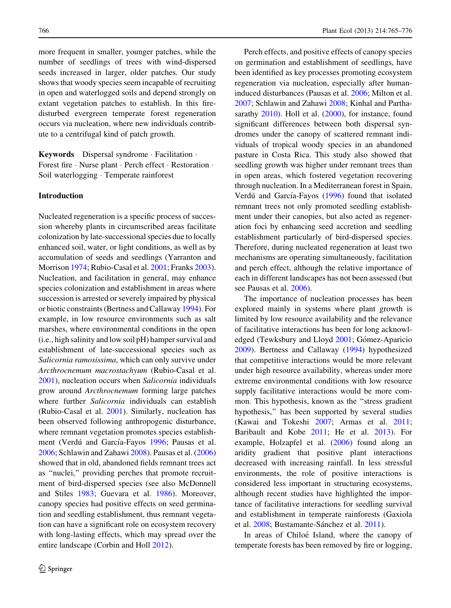more frequent in smaller, younger patches, while the number of seedlings of trees with wind-dispersed seeds increased in larger, older patches. Our study shows that woody species seem incapable of recruiting in open and waterlogged soils and depend strongly on extant vegetation patches to establish. In this firedisturbed evergreen temperate forest regeneration occurs via nucleation, where new individuals contribute to a centrifugal kind of patch growth.

Keywords Dispersal syndrome - Facilitation - Forest fire · Nurse plant · Perch effect · Restoration · Soil waterlogging - Temperate rainforest

## Introduction

Nucleated regeneration is a specific process of succession whereby plants in circumscribed areas facilitate colonization by late-successional species due to locally enhanced soil, water, or light conditions, as well as by accumulation of seeds and seedlings (Yarranton and Morrison [1974;](#page-11-0) Rubio-Casal et al. [2001;](#page-10-0) Franks [2003](#page-10-0)). Nucleation, and facilitation in general, may enhance species colonization and establishment in areas where succession is arrested or severely impaired by physical or biotic constraints (Bertness and Callaway [1994\)](#page-10-0). For example, in low resource environments such as salt marshes, where environmental conditions in the open (i.e., high salinity and low soil pH) hamper survival and establishment of late-successional species such as Salicornia ramosissima, which can only survive under Arcthrocnemum macrostachyum (Rubio-Casal et al. [2001\)](#page-10-0), nucleation occurs when Salicornia individuals grow around Arcthrocnemum forming large patches where further Salicornia individuals can establish (Rubio-Casal et al. [2001](#page-10-0)). Similarly, nucleation has been observed following anthropogenic disturbance, where remnant vegetation promotes species establish-ment (Verdú and García-Fayos [1996;](#page-11-0) Pausas et al. [2006;](#page-10-0) Schlawin and Zahawi [2008](#page-10-0)). Pausas et al. ([2006\)](#page-10-0) showed that in old, abandoned fields remnant trees act as ''nuclei,'' providing perches that promote recruitment of bird-dispersed species (see also McDonnell and Stiles [1983](#page-10-0); Guevara et al. [1986](#page-10-0)). Moreover, canopy species had positive effects on seed germination and seedling establishment, thus remnant vegetation can have a significant role on ecosystem recovery with long-lasting effects, which may spread over the entire landscape (Corbin and Holl [2012\)](#page-10-0).

Perch effects, and positive effects of canopy species on germination and establishment of seedlings, have been identified as key processes promoting ecosystem regeneration via nucleation, especially after humaninduced disturbances (Pausas et al. [2006](#page-10-0); Milton et al. [2007;](#page-10-0) Schlawin and Zahawi [2008](#page-10-0); Kinhal and Partha-sarathy [2010](#page-10-0)). Holl et al. [\(2000](#page-10-0)), for instance, found significant differences between both dispersal syndromes under the canopy of scattered remnant individuals of tropical woody species in an abandoned pasture in Costa Rica. This study also showed that seedling growth was higher under remnant trees than in open areas, which fostered vegetation recovering through nucleation. In a Mediterranean forest in Spain, Verdú and García-Fayos [\(1996](#page-11-0)) found that isolated remnant trees not only promoted seedling establishment under their canopies, but also acted as regeneration foci by enhancing seed accretion and seedling establishment particularly of bird-dispersed species. Therefore, during nucleated regeneration at least two mechanisms are operating simultaneously, facilitation and perch effect, although the relative importance of each in different landscapes has not been assessed (but see Pausas et al. [2006\)](#page-10-0).

The importance of nucleation processes has been explored mainly in systems where plant growth is limited by low resource availability and the relevance of facilitative interactions has been for long acknowl-edged (Tewksbury and Lloyd [2001](#page-10-0); Gómez-Aparicio [2009\)](#page-10-0). Bertness and Callaway ([1994](#page-10-0)) hypothesized that competitive interactions would be more relevant under high resource availability, whereas under more extreme environmental conditions with low resource supply facilitative interactions would be more common. This hypothesis, known as the ''stress gradient hypothesis,'' has been supported by several studies (Kawai and Tokeshi [2007](#page-10-0); Armas et al. [2011](#page-9-0); Baribault and Kobe [2011](#page-10-0); He et al. [2013](#page-10-0)). For example, Holzapfel et al. ([2006\)](#page-10-0) found along an aridity gradient that positive plant interactions decreased with increasing rainfall. In less stressful environments, the role of positive interactions is considered less important in structuring ecosystems, although recent studies have highlighted the importance of facilitative interactions for seedling survival and establishment in temperate rainforests (Gaxiola et al. [2008](#page-10-0); Bustamante-Sánchez et al. [2011\)](#page-10-0).

In areas of Chiloé Island, where the canopy of temperate forests has been removed by fire or logging,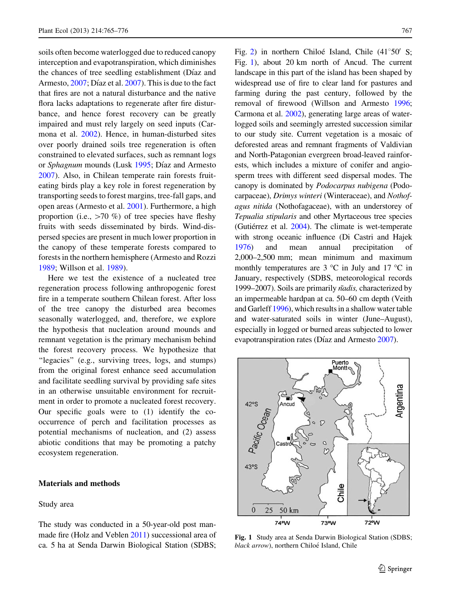soils often become waterlogged due to reduced canopy interception and evapotranspiration, which diminishes the chances of tree seedling establishment (Díaz and Armesto,  $2007$ ; Díaz et al.  $2007$ ). This is due to the fact that fires are not a natural disturbance and the native flora lacks adaptations to regenerate after fire disturbance, and hence forest recovery can be greatly impaired and must rely largely on seed inputs (Carmona et al. [2002](#page-10-0)). Hence, in human-disturbed sites over poorly drained soils tree regeneration is often constrained to elevated surfaces, such as remnant logs or Sphagnum mounds (Lusk [1995](#page-10-0); Díaz and Armesto [2007\)](#page-10-0). Also, in Chilean temperate rain forests fruiteating birds play a key role in forest regeneration by transporting seeds to forest margins, tree-fall gaps, and open areas (Armesto et al. [2001](#page-10-0)). Furthermore, a high proportion (i.e.,  $>70 \%$ ) of tree species have fleshy fruits with seeds disseminated by birds. Wind-dispersed species are present in much lower proportion in the canopy of these temperate forests compared to forests in the northern hemisphere (Armesto and Rozzi [1989;](#page-9-0) Willson et al. [1989](#page-11-0)).

Here we test the existence of a nucleated tree regeneration process following anthropogenic forest fire in a temperate southern Chilean forest. After loss of the tree canopy the disturbed area becomes seasonally waterlogged, and, therefore, we explore the hypothesis that nucleation around mounds and remnant vegetation is the primary mechanism behind the forest recovery process. We hypothesize that "legacies" (e.g., surviving trees, logs, and stumps) from the original forest enhance seed accumulation and facilitate seedling survival by providing safe sites in an otherwise unsuitable environment for recruitment in order to promote a nucleated forest recovery. Our specific goals were to (1) identify the cooccurrence of perch and facilitation processes as potential mechanisms of nucleation, and (2) assess abiotic conditions that may be promoting a patchy ecosystem regeneration.

## Materials and methods

### Study area

The study was conducted in a 50-year-old post manmade fire (Holz and Veblen [2011](#page-10-0)) successional area of ca. 5 ha at Senda Darwin Biological Station (SDBS;

Fig. [2](#page-5-0)) in northern Chiloé Island, Chile  $(41^{\circ}50^{\circ} \text{ S};$ Fig. 1), about 20 km north of Ancud. The current landscape in this part of the island has been shaped by widespread use of fire to clear land for pastures and farming during the past century, followed by the removal of firewood (Willson and Armesto [1996](#page-11-0); Carmona et al. [2002\)](#page-10-0), generating large areas of waterlogged soils and seemingly arrested succession similar to our study site. Current vegetation is a mosaic of deforested areas and remnant fragments of Valdivian and North-Patagonian evergreen broad-leaved rainforests, which includes a mixture of conifer and angiosperm trees with different seed dispersal modes. The canopy is dominated by Podocarpus nubigena (Podocarpaceae), Drimys winteri (Winteraceae), and Nothofagus nitida (Nothofagaceae), with an understorey of Tepualia stipularis and other Myrtaceous tree species (Gutiérrez et al.  $2004$ ). The climate is wet-temperate with strong oceanic influence (Di Castri and Hajek [1976](#page-10-0)) and mean annual precipitation of 2,000–2,500 mm; mean minimum and maximum monthly temperatures are  $3 \text{ °C}$  in July and  $17 \text{ °C}$  in January, respectively (SDBS, meteorological records 1999–2007). Soils are primarily *n*adis, characterized by an impermeable hardpan at ca. 50–60 cm depth (Veith and Garleff [1996](#page-11-0)), which results in a shallow water table and water-saturated soils in winter (June–August), especially in logged or burned areas subjected to lower evapotranspiration rates (Díaz and Armesto [2007\)](#page-10-0).



Fig. 1 Study area at Senda Darwin Biological Station (SDBS; black arrow), northern Chiloé Island, Chile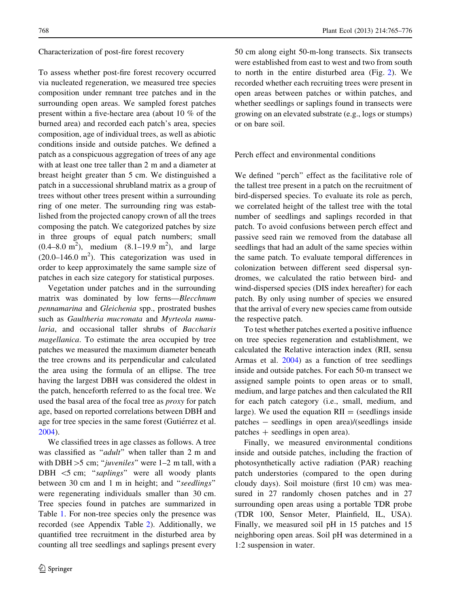### Characterization of post-fire forest recovery

To assess whether post-fire forest recovery occurred via nucleated regeneration, we measured tree species composition under remnant tree patches and in the surrounding open areas. We sampled forest patches present within a five-hectare area (about 10 % of the burned area) and recorded each patch's area, species composition, age of individual trees, as well as abiotic conditions inside and outside patches. We defined a patch as a conspicuous aggregation of trees of any age with at least one tree taller than 2 m and a diameter at breast height greater than 5 cm. We distinguished a patch in a successional shrubland matrix as a group of trees without other trees present within a surrounding ring of one meter. The surrounding ring was established from the projected canopy crown of all the trees composing the patch. We categorized patches by size in three groups of equal patch numbers; small  $(0.4-8.0 \text{ m}^2)$ , medium  $(8.1-19.9 \text{ m}^2)$ , and large  $(20.0-146.0 \text{ m}^2)$ . This categorization was used in order to keep approximately the same sample size of patches in each size category for statistical purposes.

Vegetation under patches and in the surrounding matrix was dominated by low ferns—Blecchnum pennamarina and Gleichenia spp., prostrated bushes such as Gaultheria mucronata and Myrteola numularia, and occasional taller shrubs of Baccharis magellanica. To estimate the area occupied by tree patches we measured the maximum diameter beneath the tree crowns and its perpendicular and calculated the area using the formula of an ellipse. The tree having the largest DBH was considered the oldest in the patch, henceforth referred to as the focal tree. We used the basal area of the focal tree as *proxy* for patch age, based on reported correlations between DBH and age for tree species in the same forest (Gutiérrez et al. [2004\)](#page-10-0).

We classified trees in age classes as follows. A tree was classified as "*adult*" when taller than 2 m and with DBH $>$ 5 cm; "juveniles" were 1–2 m tall, with a DBH  $\leq$ 5 cm; "saplings" were all woody plants between 30 cm and 1 m in height; and "seedlings" were regenerating individuals smaller than 30 cm. Tree species found in patches are summarized in Table [1.](#page-4-0) For non-tree species only the presence was recorded (see Appendix Table [2](#page-9-0)). Additionally, we quantified tree recruitment in the disturbed area by counting all tree seedlings and saplings present every 50 cm along eight 50-m-long transects. Six transects were established from east to west and two from south to north in the entire disturbed area (Fig. [2](#page-5-0)). We recorded whether each recruiting trees were present in open areas between patches or within patches, and whether seedlings or saplings found in transects were growing on an elevated substrate (e.g., logs or stumps) or on bare soil.

Perch effect and environmental conditions

We defined ''perch'' effect as the facilitative role of the tallest tree present in a patch on the recruitment of bird-dispersed species. To evaluate its role as perch, we correlated height of the tallest tree with the total number of seedlings and saplings recorded in that patch. To avoid confusions between perch effect and passive seed rain we removed from the database all seedlings that had an adult of the same species within the same patch. To evaluate temporal differences in colonization between different seed dispersal syndromes, we calculated the ratio between bird- and wind-dispersed species (DIS index hereafter) for each patch. By only using number of species we ensured that the arrival of every new species came from outside the respective patch.

To test whether patches exerted a positive influence on tree species regeneration and establishment, we calculated the Relative interaction index (RII, sensu Armas et al. [2004](#page-9-0)) as a function of tree seedlings inside and outside patches. For each 50-m transect we assigned sample points to open areas or to small, medium, and large patches and then calculated the RII for each patch category (i.e., small, medium, and large). We used the equation  $\text{RII} =$  (seedlings inside patches - seedlings in open area)/(seedlings inside  $patches + seedlings$  in open area).

Finally, we measured environmental conditions inside and outside patches, including the fraction of photosynthetically active radiation (PAR) reaching patch understories (compared to the open during cloudy days). Soil moisture (first 10 cm) was measured in 27 randomly chosen patches and in 27 surrounding open areas using a portable TDR probe (TDR 100, Sensor Meter, Plainfield, IL, USA). Finally, we measured soil pH in 15 patches and 15 neighboring open areas. Soil pH was determined in a 1:2 suspension in water.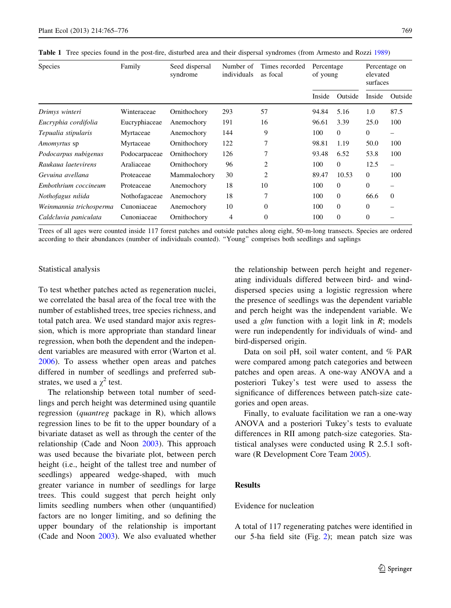| <b>Species</b>          | Family        | Seed dispersal<br>syndrome | Number of<br>individuals | Times recorded<br>as focal | Percentage<br>of young |                | Percentage on<br>elevated<br>surfaces |                          |
|-------------------------|---------------|----------------------------|--------------------------|----------------------------|------------------------|----------------|---------------------------------------|--------------------------|
|                         |               |                            |                          |                            | Inside                 | Outside        | Inside                                | Outside                  |
| Drimys winteri          | Winteraceae   | Ornithochory               | 293                      | 57                         | 94.84                  | 5.16           | 1.0                                   | 87.5                     |
| Eucryphia cordifolia    | Eucryphiaceae | Anemochory                 | 191                      | 16                         | 96.61                  | 3.39           | 25.0                                  | 100                      |
| Tepualia stipularis     | Myrtaceae     | Anemochory                 | 144                      | 9                          | 100                    | $\overline{0}$ | $\mathbf{0}$                          |                          |
| <i>Amomyrtus</i> sp     | Myrtaceae     | Ornithochory               | 122                      | 7                          | 98.81                  | 1.19           | 50.0                                  | 100                      |
| Podocarpus nubigenus    | Podocarpaceae | Ornithochory               | 126                      |                            | 93.48                  | 6.52           | 53.8                                  | 100                      |
| Raukaua laetevirens     | Araliaceae    | Ornithochory               | 96                       | $\overline{2}$             | 100                    | $\Omega$       | 12.5                                  | $\overline{\phantom{0}}$ |
| Gevuina avellana        | Proteaceae    | Mammalochory               | 30                       | $\overline{2}$             | 89.47                  | 10.53          | $\mathbf{0}$                          | 100                      |
| Embothrium coccineum    | Proteaceae    | Anemochory                 | 18                       | 10                         | 100                    | $\theta$       | $\mathbf{0}$                          | -                        |
| Nothofagus nítida       | Nothofagaceae | Anemochory                 | 18                       | 7                          | 100                    | $\Omega$       | 66.6                                  | $\Omega$                 |
| Weinmannia trichosperma | Cunoniaceae   | Anemochory                 | 10                       | $\theta$                   | 100                    | $\theta$       | $\mathbf{0}$                          |                          |
| Caldcluvia paniculata   | Cunoniaceae   | Ornithochory               | 4                        | $\theta$                   | 100                    | $\Omega$       | $\Omega$                              |                          |

<span id="page-4-0"></span>Table 1 Tree species found in the post-fire, disturbed area and their dispersal syndromes (from Armesto and Rozzi [1989\)](#page-9-0)

Trees of all ages were counted inside 117 forest patches and outside patches along eight, 50-m-long transects. Species are ordered according to their abundances (number of individuals counted). ''Young'' comprises both seedlings and saplings

### Statistical analysis

To test whether patches acted as regeneration nuclei, we correlated the basal area of the focal tree with the number of established trees, tree species richness, and total patch area. We used standard major axis regression, which is more appropriate than standard linear regression, when both the dependent and the independent variables are measured with error (Warton et al. [2006\)](#page-11-0). To assess whether open areas and patches differed in number of seedlings and preferred substrates, we used a  $\chi^2$  test.

The relationship between total number of seedlings and perch height was determined using quantile regression (quantreg package in R), which allows regression lines to be fit to the upper boundary of a bivariate dataset as well as through the center of the relationship (Cade and Noon [2003\)](#page-10-0). This approach was used because the bivariate plot, between perch height (i.e., height of the tallest tree and number of seedlings) appeared wedge-shaped, with much greater variance in number of seedlings for large trees. This could suggest that perch height only limits seedling numbers when other (unquantified) factors are no longer limiting, and so defining the upper boundary of the relationship is important (Cade and Noon [2003](#page-10-0)). We also evaluated whether the relationship between perch height and regenerating individuals differed between bird- and winddispersed species using a logistic regression where the presence of seedlings was the dependent variable and perch height was the independent variable. We used a  $g/m$  function with a logit link in  $R$ ; models were run independently for individuals of wind- and bird-dispersed origin.

Data on soil pH, soil water content, and % PAR were compared among patch categories and between patches and open areas. A one-way ANOVA and a posteriori Tukey's test were used to assess the significance of differences between patch-size categories and open areas.

Finally, to evaluate facilitation we ran a one-way ANOVA and a posteriori Tukey's tests to evaluate differences in RII among patch-size categories. Statistical analyses were conducted using R 2.5.1 software (R Development Core Team [2005\)](#page-10-0).

# Results

# Evidence for nucleation

A total of 117 regenerating patches were identified in our 5-ha field site (Fig. [2](#page-5-0)); mean patch size was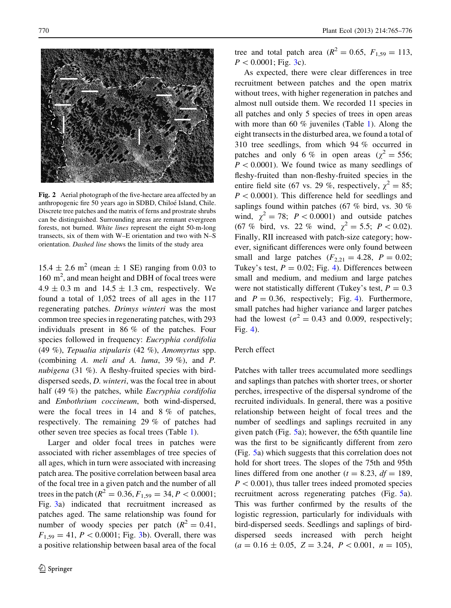<span id="page-5-0"></span>

Fig. 2 Aerial photograph of the five-hectare area affected by an anthropogenic fire 50 years ago in SDBD, Chiloé Island, Chile. Discrete tree patches and the matrix of ferns and prostrate shrubs can be distinguished. Surrounding areas are remnant evergreen forests, not burned. White lines represent the eight 50-m-long transects, six of them with W–E orientation and two with N–S orientation. Dashed line shows the limits of the study area

 $15.4 \pm 2.6$  m<sup>2</sup> (mean  $\pm$  1 SE) ranging from 0.03 to 160 m<sup>2</sup>, and mean height and DBH of focal trees were  $4.9 \pm 0.3$  m and  $14.5 \pm 1.3$  cm, respectively. We found a total of 1,052 trees of all ages in the 117 regenerating patches. Drimys winteri was the most common tree species in regenerating patches, with 293 individuals present in 86 % of the patches. Four species followed in frequency: Eucryphia cordifolia (49 %), Tepualia stipularis (42 %), Amomyrtus spp. (combining A. meli and A. luma, 39 %), and P. nubigena (31 %). A fleshy-fruited species with birddispersed seeds, D. winteri, was the focal tree in about half (49 %) the patches, while *Eucryphia cordifolia* and Embothrium coccineum, both wind-dispersed, were the focal trees in 14 and 8 % of patches, respectively. The remaining 29 % of patches had other seven tree species as focal trees (Table [1](#page-4-0)).

Larger and older focal trees in patches were associated with richer assemblages of tree species of all ages, which in turn were associated with increasing patch area. The positive correlation between basal area of the focal tree in a given patch and the number of all trees in the patch ( $R^2 = 0.36, F_{1,59} = 34, P < 0.0001$ ; Fig. [3a](#page-6-0)) indicated that recruitment increased as patches aged. The same relationship was found for number of woody species per patch  $(R^2 = 0.41,$  $F_{1,59} = 41, P < 0.0001$ ; Fig. [3](#page-6-0)b). Overall, there was a positive relationship between basal area of the focal tree and total patch area  $(R^2 = 0.65, F_{1.59} = 113,$  $P < 0.0001$ ; Fig. [3](#page-6-0)c).

As expected, there were clear differences in tree recruitment between patches and the open matrix without trees, with higher regeneration in patches and almost null outside them. We recorded 11 species in all patches and only 5 species of trees in open areas with more than 60 % juveniles (Table [1](#page-4-0)). Along the eight transects in the disturbed area, we found a total of 310 tree seedlings, from which 94 % occurred in patches and only 6 % in open areas ( $\chi^2 = 556$ ;  $P < 0.0001$ ). We found twice as many seedlings of fleshy-fruited than non-fleshy-fruited species in the entire field site (67 vs. 29 %, respectively,  $\chi^2 = 85$ ;  $P < 0.0001$ ). This difference held for seedlings and saplings found within patches (67 % bird, vs. 30 % wind,  $\chi^2 = 78$ ;  $P < 0.0001$ ) and outside patches (67 % bird, vs. 22 % wind,  $\chi^2 = 5.5$ ;  $P < 0.02$ ). Finally, RII increased with patch-size category; however, significant differences were only found between small and large patches  $(F_{2,21} = 4.28, P = 0.02;$ Tukey's test,  $P = 0.02$ ; Fig. [4](#page-6-0)). Differences between small and medium, and medium and large patches were not statistically different (Tukey's test,  $P = 0.3$ ) and  $P = 0.36$ , respectively; Fig. [4](#page-6-0)). Furthermore, small patches had higher variance and larger patches had the lowest ( $\sigma^2 = 0.43$  and 0.009, respectively; Fig. [4\)](#page-6-0).

#### Perch effect

Patches with taller trees accumulated more seedlings and saplings than patches with shorter trees, or shorter perches, irrespective of the dispersal syndrome of the recruited individuals. In general, there was a positive relationship between height of focal trees and the number of seedlings and saplings recruited in any given patch (Fig. [5a](#page-7-0)); however, the 65th quantile line was the first to be significantly different from zero (Fig. [5](#page-7-0)a) which suggests that this correlation does not hold for short trees. The slopes of the 75th and 95th lines differed from one another ( $t = 8.23$ ,  $df = 189$ ,  $P < 0.001$ ), thus taller trees indeed promoted species recruitment across regenerating patches (Fig. [5a](#page-7-0)). This was further confirmed by the results of the logistic regression, particularly for individuals with bird-dispersed seeds. Seedlings and saplings of birddispersed seeds increased with perch height  $(a = 0.16 \pm 0.05, Z = 3.24, P < 0.001, n = 105),$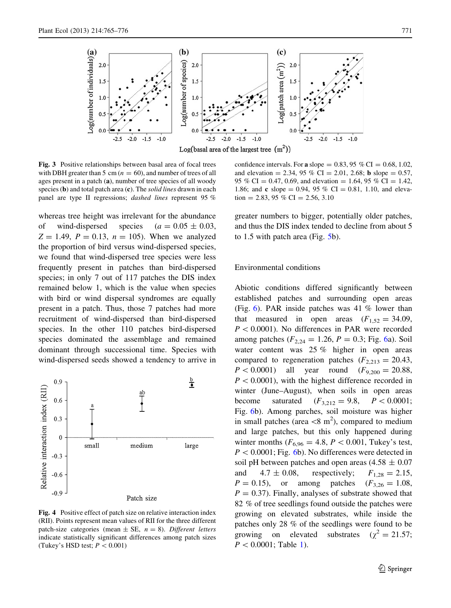<span id="page-6-0"></span>

Fig. 3 Positive relationships between basal area of focal trees with DBH greater than 5 cm  $(n = 60)$ , and number of trees of all ages present in a patch (a), number of tree species of all woody species  $(b)$  and total patch area  $(c)$ . The *solid lines* drawn in each panel are type II regressions; dashed lines represent 95 %

whereas tree height was irrelevant for the abundance of wind-dispersed species  $(a = 0.05 \pm 0.03,$  $Z = 1.49$ ,  $P = 0.13$ ,  $n = 105$ ). When we analyzed the proportion of bird versus wind-dispersed species, we found that wind-dispersed tree species were less frequently present in patches than bird-dispersed species; in only 7 out of 117 patches the DIS index remained below 1, which is the value when species with bird or wind dispersal syndromes are equally present in a patch. Thus, those 7 patches had more recruitment of wind-dispersed than bird-dispersed species. In the other 110 patches bird-dispersed species dominated the assemblage and remained dominant through successional time. Species with wind-dispersed seeds showed a tendency to arrive in



Fig. 4 Positive effect of patch size on relative interaction index (RII). Points represent mean values of RII for the three different patch-size categories (mean  $\pm$  SE,  $n = 8$ ). Different letters indicate statistically significant differences among patch sizes (Tukey's HSD test;  $P < 0.001$ )

confidence intervals. For a slope  $= 0.83, 95\%$  CI  $= 0.68, 1.02,$ and elevation = 2.34, 95 % CI = 2.01, 2.68; **b** slope = 0.57, 95 % CI = 0.47, 0.69, and elevation = 1.64, 95 % CI = 1.42, 1.86; and **c** slope = 0.94, 95 % CI = 0.81, 1.10, and elevation = 2.83, 95 % CI = 2.56, 3.10

greater numbers to bigger, potentially older patches, and thus the DIS index tended to decline from about 5 to 1.5 with patch area (Fig. [5b](#page-7-0)).

# Environmental conditions

Abiotic conditions differed significantly between established patches and surrounding open areas (Fig. [6](#page-7-0)). PAR inside patches was 41 % lower than that measured in open areas  $(F_{1,52} = 34.09)$ ,  $P < 0.0001$ ). No differences in PAR were recorded among patches ( $F_{2,24} = 1.26$ ,  $P = 0.3$ ; Fig. [6a](#page-7-0)). Soil water content was 25 % higher in open areas compared to regeneration patches  $(F_{2,213} = 20.43)$ ,  $P < 0.0001$ ) all year round  $(F_{9,200} = 20.88,$  $P < 0.0001$ , with the highest difference recorded in winter (June–August), when soils in open areas become saturated  $(F_{3,212} = 9.8, P < 0.0001;$ Fig. [6b](#page-7-0)). Among parches, soil moisture was higher in small patches (area  $\langle 8 \text{ m}^2 \rangle$ , compared to medium and large patches, but this only happened during winter months ( $F_{6,96} = 4.8, P < 0.001$ , Tukey's test,  $P < 0.0001$ ; Fig. [6b](#page-7-0)). No differences were detected in soil pH between patches and open areas  $(4.58 \pm 0.07)$ and  $4.7 \pm 0.08$ , respectively;  $F_{1,28} = 2.15$ ,  $P = 0.15$ ), or among patches  $(F_{3,26} = 1.08)$  $P = 0.37$ . Finally, analyses of substrate showed that 82 % of tree seedlings found outside the patches were growing on elevated substrates, while inside the patches only 28 % of the seedlings were found to be growing on elevated substrates ( $\chi^2 = 21.57$ ;  $P < 0.0001$ ; Table [1\)](#page-4-0).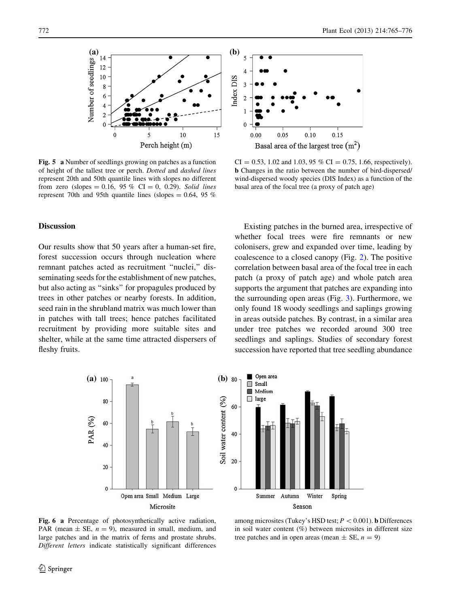<span id="page-7-0"></span>

Fig. 5 a Number of seedlings growing on patches as a function of height of the tallest tree or perch. Dotted and dashed lines represent 20th and 50th quantile lines with slopes no different from zero (slopes =  $0.16$ ,  $95\%$  CI = 0, 0.29). Solid lines represent 70th and 95th quantile lines (slopes  $= 0.64$ , 95 %)

## Discussion

Our results show that 50 years after a human-set fire, forest succession occurs through nucleation where remnant patches acted as recruitment ''nuclei,'' disseminating seeds for the establishment of new patches, but also acting as ''sinks'' for propagules produced by trees in other patches or nearby forests. In addition, seed rain in the shrubland matrix was much lower than in patches with tall trees; hence patches facilitated recruitment by providing more suitable sites and shelter, while at the same time attracted dispersers of fleshy fruits.



 $CI = 0.53, 1.02$  and 1.03, 95 %  $CI = 0.75, 1.66$ , respectively). b Changes in the ratio between the number of bird-dispersed/ wind-dispersed woody species (DIS Index) as a function of the basal area of the focal tree (a proxy of patch age)

Existing patches in the burned area, irrespective of whether focal trees were fire remnants or new colonisers, grew and expanded over time, leading by coalescence to a closed canopy (Fig. [2](#page-5-0)). The positive correlation between basal area of the focal tree in each patch (a proxy of patch age) and whole patch area supports the argument that patches are expanding into the surrounding open areas (Fig. [3\)](#page-6-0). Furthermore, we only found 18 woody seedlings and saplings growing in areas outside patches. By contrast, in a similar area under tree patches we recorded around 300 tree seedlings and saplings. Studies of secondary forest succession have reported that tree seedling abundance



Fig. 6 a Percentage of photosynthetically active radiation, PAR (mean  $\pm$  SE,  $n = 9$ ), measured in small, medium, and large patches and in the matrix of ferns and prostate shrubs. Different letters indicate statistically significant differences

among microsites (Tukey's HSD test;  $P < 0.001$ ). **b** Differences in soil water content  $(\%)$  between microsites in different size tree patches and in open areas (mean  $\pm$  SE,  $n = 9$ )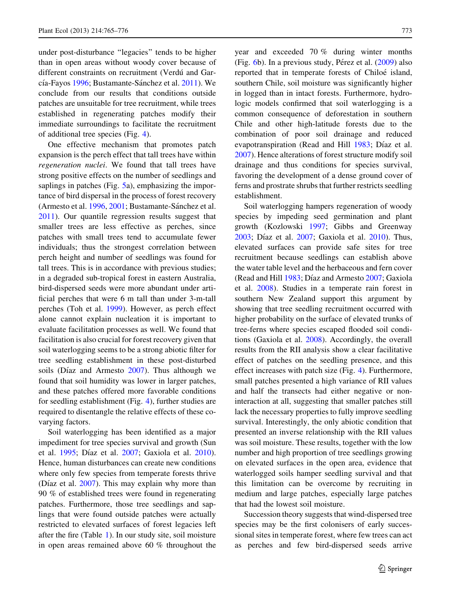under post-disturbance ''legacies'' tends to be higher than in open areas without woody cover because of different constraints on recruitment (Verdu $i$  and Gar-cía-Fayos [1996;](#page-11-0) Bustamante-Sánchez et al. [2011](#page-10-0)). We conclude from our results that conditions outside patches are unsuitable for tree recruitment, while trees established in regenerating patches modify their immediate surroundings to facilitate the recruitment of additional tree species (Fig. [4\)](#page-6-0).

One effective mechanism that promotes patch expansion is the perch effect that tall trees have within regeneration nuclei. We found that tall trees have strong positive effects on the number of seedlings and saplings in patches (Fig. [5](#page-7-0)a), emphasizing the importance of bird dispersal in the process of forest recovery (Armesto et al. [1996,](#page-10-0) [2001](#page-10-0); Bustamante-Sánchez et al. [2011\)](#page-10-0). Our quantile regression results suggest that smaller trees are less effective as perches, since patches with small trees tend to accumulate fewer individuals; thus the strongest correlation between perch height and number of seedlings was found for tall trees. This is in accordance with previous studies; in a degraded sub-tropical forest in eastern Australia, bird-dispersed seeds were more abundant under artificial perches that were 6 m tall than under 3-m-tall perches (Toh et al. [1999\)](#page-11-0). However, as perch effect alone cannot explain nucleation it is important to evaluate facilitation processes as well. We found that facilitation is also crucial for forest recovery given that soil waterlogging seems to be a strong abiotic filter for tree seedling establishment in these post-disturbed soils (Díaz and Armesto  $2007$ ). Thus although we found that soil humidity was lower in larger patches, and these patches offered more favorable conditions for seedling establishment (Fig. [4\)](#page-6-0), further studies are required to disentangle the relative effects of these covarying factors.

Soil waterlogging has been identified as a major impediment for tree species survival and growth (Sun et al. [1995](#page-10-0); Díaz et al. [2007;](#page-10-0) Gaxiola et al. [2010](#page-10-0)). Hence, human disturbances can create new conditions where only few species from temperate forests thrive (Díaz et al.  $2007$ ). This may explain why more than 90 % of established trees were found in regenerating patches. Furthermore, those tree seedlings and saplings that were found outside patches were actually restricted to elevated surfaces of forest legacies left after the fire (Table [1\)](#page-4-0). In our study site, soil moisture in open areas remained above 60 % throughout the

year and exceeded 70 % during winter months (Fig.  $6b$  $6b$ ). In a previous study, Pérez et al.  $(2009)$  $(2009)$  also reported that in temperate forests of Chiloé island, southern Chile, soil moisture was significantly higher in logged than in intact forests. Furthermore, hydrologic models confirmed that soil waterlogging is a common consequence of deforestation in southern Chile and other high-latitude forests due to the combination of poor soil drainage and reduced evapotranspiration (Read and Hill [1983](#page-10-0); Díaz et al. [2007\)](#page-10-0). Hence alterations of forest structure modify soil drainage and thus conditions for species survival, favoring the development of a dense ground cover of ferns and prostrate shrubs that further restricts seedling establishment.

Soil waterlogging hampers regeneration of woody species by impeding seed germination and plant growth (Kozlowski [1997](#page-10-0); Gibbs and Greenway [2003;](#page-10-0) Díaz et al.  $2007$ ; Gaxiola et al.  $2010$ ). Thus, elevated surfaces can provide safe sites for tree recruitment because seedlings can establish above the water table level and the herbaceous and fern cover (Read and Hill  $1983$ ; Díaz and Armesto  $2007$ ; Gaxiola et al. [2008\)](#page-10-0). Studies in a temperate rain forest in southern New Zealand support this argument by showing that tree seedling recruitment occurred with higher probability on the surface of elevated trunks of tree-ferns where species escaped flooded soil conditions (Gaxiola et al. [2008\)](#page-10-0). Accordingly, the overall results from the RII analysis show a clear facilitative effect of patches on the seedling presence, and this effect increases with patch size (Fig. [4](#page-6-0)). Furthermore, small patches presented a high variance of RII values and half the transects had either negative or noninteraction at all, suggesting that smaller patches still lack the necessary properties to fully improve seedling survival. Interestingly, the only abiotic condition that presented an inverse relationship with the RII values was soil moisture. These results, together with the low number and high proportion of tree seedlings growing on elevated surfaces in the open area, evidence that waterlogged soils hamper seedling survival and that this limitation can be overcome by recruiting in medium and large patches, especially large patches that had the lowest soil moisture.

Succession theory suggests that wind-dispersed tree species may be the first colonisers of early successional sites in temperate forest, where few trees can act as perches and few bird-dispersed seeds arrive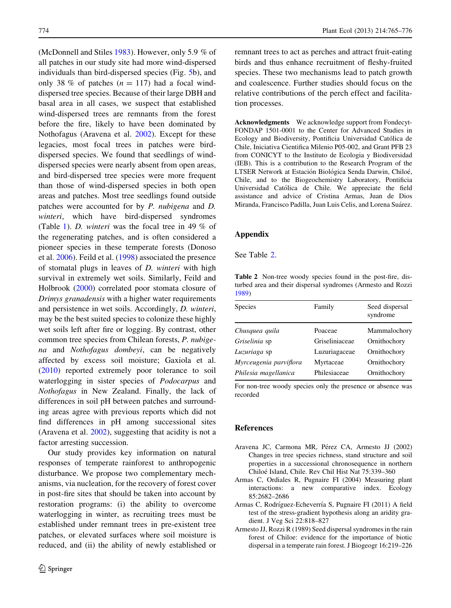<span id="page-9-0"></span>(McDonnell and Stiles [1983\)](#page-10-0). However, only 5.9 % of all patches in our study site had more wind-dispersed individuals than bird-dispersed species (Fig. [5b](#page-7-0)), and only 38 % of patches  $(n = 117)$  had a focal winddispersed tree species. Because of their large DBH and basal area in all cases, we suspect that established wind-dispersed trees are remnants from the forest before the fire, likely to have been dominated by Nothofagus (Aravena et al. 2002). Except for these legacies, most focal trees in patches were birddispersed species. We found that seedlings of winddispersed species were nearly absent from open areas, and bird-dispersed tree species were more frequent than those of wind-dispersed species in both open areas and patches. Most tree seedlings found outside patches were accounted for by P. nubigena and D. winteri, which have bird-dispersed syndromes (Table [1](#page-4-0)). D. winteri was the focal tree in 49 % of the regenerating patches, and is often considered a pioneer species in these temperate forests (Donoso et al. [2006](#page-10-0)). Feild et al. ([1998\)](#page-10-0) associated the presence of stomatal plugs in leaves of D. winteri with high survival in extremely wet soils. Similarly, Feild and Holbrook [\(2000](#page-10-0)) correlated poor stomata closure of Drimys granadensis with a higher water requirements and persistence in wet soils. Accordingly, D. winteri, may be the best suited species to colonize these highly wet soils left after fire or logging. By contrast, other common tree species from Chilean forests, P. nubigena and Nothofagus dombeyi, can be negatively affected by excess soil moisture; Gaxiola et al. [\(2010](#page-10-0)) reported extremely poor tolerance to soil waterlogging in sister species of Podocarpus and Nothofagus in New Zealand. Finally, the lack of differences in soil pH between patches and surrounding areas agree with previous reports which did not find differences in pH among successional sites (Aravena et al. 2002), suggesting that acidity is not a factor arresting succession.

Our study provides key information on natural responses of temperate rainforest to anthropogenic disturbance. We propose two complementary mechanisms, via nucleation, for the recovery of forest cover in post-fire sites that should be taken into account by restoration programs: (i) the ability to overcome waterlogging in winter, as recruiting trees must be established under remnant trees in pre-existent tree patches, or elevated surfaces where soil moisture is reduced, and (ii) the ability of newly established or

remnant trees to act as perches and attract fruit-eating birds and thus enhance recruitment of fleshy-fruited species. These two mechanisms lead to patch growth and coalescence. Further studies should focus on the relative contributions of the perch effect and facilitation processes.

Acknowledgments We acknowledge support from Fondecyt-FONDAP 1501-0001 to the Center for Advanced Studies in Ecology and Biodiversity, Pontificia Universidad Católica de Chile, Iniciativa Cientifica Milenio P05-002, and Grant PFB 23 from CONICYT to the Instituto de Ecologia y Biodiversidad (IEB). This is a contribution to the Research Program of the LTSER Network at Estación Biológica Senda Darwin, Chiloé, Chile, and to the Biogeochemistry Laboratory, Pontificia Universidad Católica de Chile. We appreciate the field assistance and advice of Cristina Armas, Juan de Dios Miranda, Francisco Padilla, Juan Luis Celis, and Lorena Suárez.

## Appendix

See Table 2.

Table 2 Non-tree woody species found in the post-fire, disturbed area and their dispersal syndromes (Armesto and Rozzi 1989)

| <b>Species</b>         | Family         | Seed dispersal<br>syndrome |  |  |
|------------------------|----------------|----------------------------|--|--|
| Chusquea quila         | Poaceae        | Mammalochory               |  |  |
| Griselinia sp          | Griseliniaceae | Ornithochory               |  |  |
| Luzuriaga sp           | Luzuriagaceae  | Ornithochory               |  |  |
| Myrceugenia parviflora | Myrtaceae      | Ornithochory               |  |  |
| Philesia magellanica   | Philesiaceae   | Ornithochory               |  |  |

For non-tree woody species only the presence or absence was recorded

## References

- Aravena JC, Carmona MR, Pérez CA, Armesto JJ (2002) Changes in tree species richness, stand structure and soil properties in a successional chronosequence in northern Chiloe´ Island, Chile. Rev Chil Hist Nat 75:339–360
- Armas C, Ordiales R, Pugnaire FI (2004) Measuring plant interactions: a new comparative index. Ecology 85:2682–2686
- Armas C, Rodríguez-Echeverría S, Pugnaire FI (2011) A field test of the stress-gradient hypothesis along an aridity gradient. J Veg Sci 22:818–827
- Armesto JJ, Rozzi R (1989) Seed dispersal syndromes in the rain forest of Chiloe: evidence for the importance of biotic dispersal in a temperate rain forest. J Biogeogr 16:219–226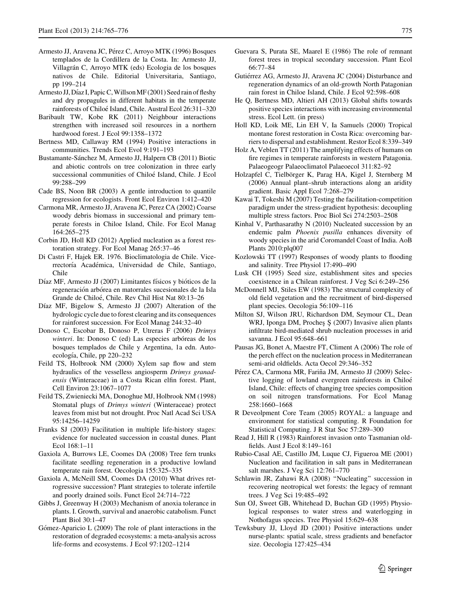- <span id="page-10-0"></span>Armesto JJ, Aravena JC, Pérez C, Arroyo MTK (1996) Bosques templados de la Cordillera de la Costa. In: Armesto JJ, Villagrán C, Arroyo MTK (eds) Ecologia de los bosques nativos de Chile. Editorial Universitaria, Santiago, pp 199–214
- Armesto JJ, Díaz I, Papic C, Willson MF (2001) Seed rain of fleshy and dry propagules in different habitats in the temperate rainforests of Chiloé Island, Chile. Austral Ecol 26:311–320
- Baribault TW, Kobe RK (2011) Neighbour interactions strengthen with increased soil resources in a northern hardwood forest. J Ecol 99:1358–1372
- Bertness MD, Callaway RM (1994) Positive interactions in communities. Trends Ecol Evol 9:191–193
- Bustamante-Sánchez M, Armesto JJ, Halpern CB (2011) Biotic and abiotic controls on tree colonization in three early successional communities of Chiloé Island, Chile. J Ecol 99:288–299
- Cade BS, Noon BR (2003) A gentle introduction to quantile regression for ecologists. Front Ecol Environ 1:412–420
- Carmona MR, Armesto JJ, Aravena JC, Perez CA (2002) Coarse woody debris biomass in successional and primary temperate forests in Chiloe Island, Chile. For Ecol Manag 164:265–275
- Corbin JD, Holl KD (2012) Applied nucleation as a forest restoration strategy. For Ecol Manag 265:37–46
- Di Castri F, Hajek ER. 1976. Bioclimatologia de Chile. Vicerrectoría Académica, Universidad de Chile, Santiago, Chile
- Díaz MF, Armesto JJ (2007) Limitantes físicos y bióticos de la regeneración arbórea en matorrales sucesionales de la Isla Grande de Chiloe´, Chile. Rev Chil Hist Nat 80:13–26
- Díaz MF, Bigelow S, Armesto JJ (2007) Alteration of the hydrologic cycle due to forest clearing and its consequences for rainforest succession. For Ecol Manag 244:32–40
- Donoso C, Escobar B, Donoso P, Utreras F (2006) Drimys winteri. In: Donoso C (ed) Las especies arbóreas de los bosques templados de Chile y Argentina, 1a edn. Autoecología, Chile, pp 220-232
- Feild TS, Holbrook NM (2000) Xylem sap flow and stem hydraulics of the vesselless angiosperm Drimys granadensis (Winteraceae) in a Costa Rican elfin forest. Plant, Cell Environ 23:1067–1077
- Feild TS, Zwieniecki MA, Donoghue MJ, Holbrook NM (1998) Stomatal plugs of Drimys winteri (Winteraceae) protect leaves from mist but not drought. Proc Natl Acad Sci USA 95:14256–14259
- Franks SJ (2003) Facilitation in multiple life-history stages: evidence for nucleated succession in coastal dunes. Plant Ecol 168:1–11
- Gaxiola A, Burrows LE, Coomes DA (2008) Tree fern trunks facilitate seedling regeneration in a productive lowland temperate rain forest. Oecologia 155:325–335
- Gaxiola A, McNeill SM, Coomes DA (2010) What drives retrogressive succession? Plant strategies to tolerate infertile and poorly drained soils. Funct Ecol 24:714–722
- Gibbs J, Greenway H (2003) Mechanism of anoxia tolerance in plants. I. Growth, survival and anaerobic catabolism. Funct Plant Biol 30:1–47
- Gómez-Aparicio L (2009) The role of plant interactions in the restoration of degraded ecosystems: a meta-analysis across life-forms and ecosystems. J Ecol 97:1202–1214
- Guevara S, Purata SE, Maarel E (1986) The role of remnant forest trees in tropical secondary succession. Plant Ecol 66:77–84
- Gutiérrez AG, Armesto JJ, Aravena JC (2004) Disturbance and regeneration dynamics of an old-growth North Patagonian rain forest in Chiloe Island, Chile. J Ecol 92:598–608
- He Q, Bertness MD, Altieri AH (2013) Global shifts towards positive species interactions with increasing environmental stress. Ecol Lett. (in press)
- Holl KD, Loik ME, Lin EH V, Ia Samuels (2000) Tropical montane forest restoration in Costa Rica: overcoming barriers to dispersal and establishment. Restor Ecol 8:339–349
- Holz A, Veblen TT (2011) The amplifying effects of humans on fire regimes in temperate rainforests in western Patagonia. Palaeogeogr Palaeoclimatol Palaeoecol 311:82–92
- Holzapfel C, Tielbörger K, Parag HA, Kigel J, Sternberg M (2006) Annual plant–shrub interactions along an aridity gradient. Basic Appl Ecol 7:268–279
- Kawai T, Tokeshi M (2007) Testing the facilitation-competition paradigm under the stress-gradient hypothesis: decoupling multiple stress factors. Proc Biol Sci 274:2503–2508
- Kinhal V, Parthasarathy N (2010) Nucleated succession by an endemic palm Phoenix pusilla enhances diversity of woody species in the arid Coromandel Coast of India. AoB Plants 2010:plq007
- Kozlowski TT (1997) Responses of woody plants to flooding and salinity. Tree Physiol 17:490–490
- Lusk CH (1995) Seed size, establishment sites and species coexistence in a Chilean rainforest. J Veg Sci 6:249–256
- McDonnell MJ, Stiles EW (1983) The structural complexity of old field vegetation and the recruitment of bird-dispersed plant species. Oecologia 56:109–116
- Milton SJ, Wilson JRU, Richardson DM, Seymour CL, Dean WRJ, Iponga DM, Proches Ş (2007) Invasive alien plants infiltrate bird-mediated shrub nucleation processes in arid savanna. J Ecol 95:648–661
- Pausas JG, Bonet A, Maestre FT, Climent A (2006) The role of the perch effect on the nucleation process in Mediterranean semi-arid oldfields. Acta Oecol 29:346–352
- Pérez CA, Carmona MR, Fariña JM, Armesto JJ (2009) Selective logging of lowland evergreen rainforests in Chiloe´ Island, Chile: effects of changing tree species composition on soil nitrogen transformations. For Ecol Manag 258:1660–1668
- R Deveolpment Core Team (2005) ROYAL: a language and environment for statistical computing. R Foundation for Statistical Computing. J R Stat Soc 57:289–300
- Read J, Hill R (1983) Rainforest invasion onto Tasmanian oldfields. Aust J Ecol 8:149–161
- Rubio-Casal AE, Castillo JM, Luque CJ, Figueroa ME (2001) Nucleation and facilitation in salt pans in Mediterranean salt marshes. J Veg Sci 12:761–770
- Schlawin JR, Zahawi RA (2008) ''Nucleating'' succession in recovering neotropical wet forests: the legacy of remnant trees. J Veg Sci 19:485–492
- Sun OJ, Sweet GB, Whitehead D, Buchan GD (1995) Physiological responses to water stress and waterlogging in Nothofagus species. Tree Physiol 15:629–638
- Tewksbury JJ, Lloyd JD (2001) Positive interactions under nurse-plants: spatial scale, stress gradients and benefactor size. Oecologia 127:425–434